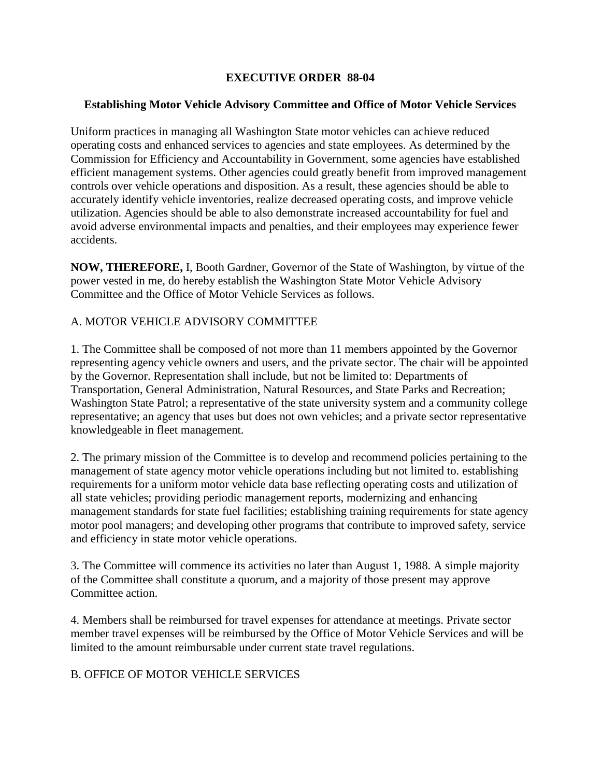# **EXECUTIVE ORDER 88-04**

### **Establishing Motor Vehicle Advisory Committee and Office of Motor Vehicle Services**

Uniform practices in managing all Washington State motor vehicles can achieve reduced operating costs and enhanced services to agencies and state employees. As determined by the Commission for Efficiency and Accountability in Government, some agencies have established efficient management systems. Other agencies could greatly benefit from improved management controls over vehicle operations and disposition. As a result, these agencies should be able to accurately identify vehicle inventories, realize decreased operating costs, and improve vehicle utilization. Agencies should be able to also demonstrate increased accountability for fuel and avoid adverse environmental impacts and penalties, and their employees may experience fewer accidents.

**NOW, THEREFORE,** I, Booth Gardner, Governor of the State of Washington, by virtue of the power vested in me, do hereby establish the Washington State Motor Vehicle Advisory Committee and the Office of Motor Vehicle Services as follows.

### A. MOTOR VEHICLE ADVISORY COMMITTEE

1. The Committee shall be composed of not more than 11 members appointed by the Governor representing agency vehicle owners and users, and the private sector. The chair will be appointed by the Governor. Representation shall include, but not be limited to: Departments of Transportation, General Administration, Natural Resources, and State Parks and Recreation; Washington State Patrol; a representative of the state university system and a community college representative; an agency that uses but does not own vehicles; and a private sector representative knowledgeable in fleet management.

2. The primary mission of the Committee is to develop and recommend policies pertaining to the management of state agency motor vehicle operations including but not limited to. establishing requirements for a uniform motor vehicle data base reflecting operating costs and utilization of all state vehicles; providing periodic management reports, modernizing and enhancing management standards for state fuel facilities; establishing training requirements for state agency motor pool managers; and developing other programs that contribute to improved safety, service and efficiency in state motor vehicle operations.

3. The Committee will commence its activities no later than August 1, 1988. A simple majority of the Committee shall constitute a quorum, and a majority of those present may approve Committee action.

4. Members shall be reimbursed for travel expenses for attendance at meetings. Private sector member travel expenses will be reimbursed by the Office of Motor Vehicle Services and will be limited to the amount reimbursable under current state travel regulations.

# B. OFFICE OF MOTOR VEHICLE SERVICES